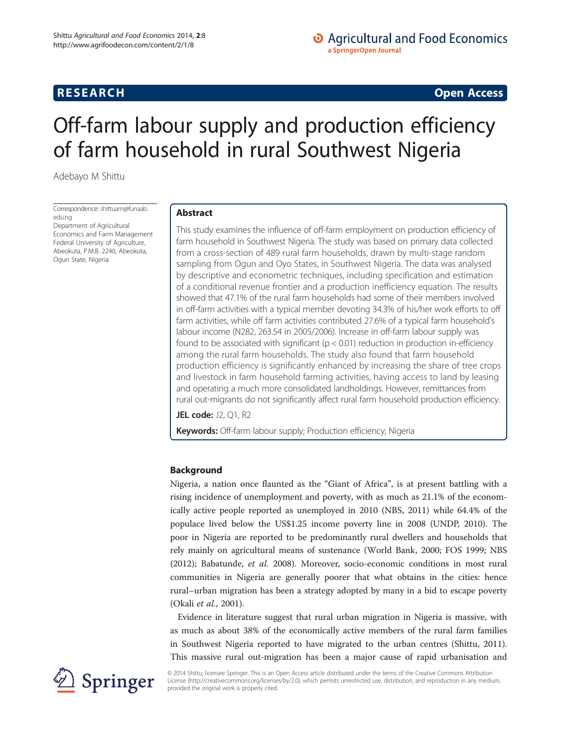# **RESEARCH CHINESE ARCH CHINESE ARCH CHINESE ARCH <b>CHINESE ARCH**

# Off-farm labour supply and production efficiency of farm household in rural Southwest Nigeria

Adebayo M Shittu

Correspondence: [shittuam@funaab.](mailto:shittuam@funaab.edu.ng) [edu.ng](mailto:shittuam@funaab.edu.ng)

Department of Agricultural Economics and Farm Management Federal University of Agriculture, Abeokuta, P.M.B. 2240, Abeokuta, Ogun State, Nigeria

# Abstract

This study examines the influence of off-farm employment on production efficiency of farm household in Southwest Nigeria. The study was based on primary data collected from a cross-section of 489 rural farm households, drawn by multi-stage random sampling from Ogun and Oyo States, in Southwest Nigeria. The data was analysed by descriptive and econometric techniques, including specification and estimation of a conditional revenue frontier and a production inefficiency equation. The results showed that 47.1% of the rural farm households had some of their members involved in off-farm activities with a typical member devoting 34.3% of his/her work efforts to off farm activities, while off farm activities contributed 27.6% of a typical farm household's labour income (N282, 263.54 in 2005/2006). Increase in off-farm labour supply was found to be associated with significant ( $p < 0.01$ ) reduction in production in-efficiency among the rural farm households. The study also found that farm household production efficiency is significantly enhanced by increasing the share of tree crops and livestock in farm household farming activities, having access to land by leasing and operating a much more consolidated landholdings. However, remittances from rural out-migrants do not significantly affect rural farm household production efficiency.

JEL code: J2, Q1, R2

Keywords: Off-farm labour supply; Production efficiency; Nigeria

# Background

Nigeria, a nation once flaunted as the "Giant of Africa", is at present battling with a rising incidence of unemployment and poverty, with as much as 21.1% of the economically active people reported as unemployed in 2010 (NBS, [2011\)](#page-20-0) while 64.4% of the populace lived below the US\$1.25 income poverty line in 2008 (UNDP, [2010](#page-20-0)). The poor in Nigeria are reported to be predominantly rural dwellers and households that rely mainly on agricultural means of sustenance (World Bank, [2000;](#page-20-0) FOS [1999](#page-19-0); NBS ([2012\)](#page-20-0); Babatunde, et al. [2008\)](#page-19-0). Moreover, socio-economic conditions in most rural communities in Nigeria are generally poorer that what obtains in the cities: hence rural–urban migration has been a strategy adopted by many in a bid to escape poverty (Okali et al., [2001](#page-20-0)).

Evidence in literature suggest that rural urban migration in Nigeria is massive, with as much as about 38% of the economically active members of the rural farm families in Southwest Nigeria reported to have migrated to the urban centres (Shittu, [2011](#page-20-0)). This massive rural out-migration has been a major cause of rapid urbanisation and



© 2014 Shittu; licensee Springer. This is an Open Access article distributed under the terms of the Creative Commons Attribution License [\(http://creativecommons.org/licenses/by/2.0\)](http://creativecommons.org/licenses/by/2.0), which permits unrestricted use, distribution, and reproduction in any medium, provided the original work is properly cited.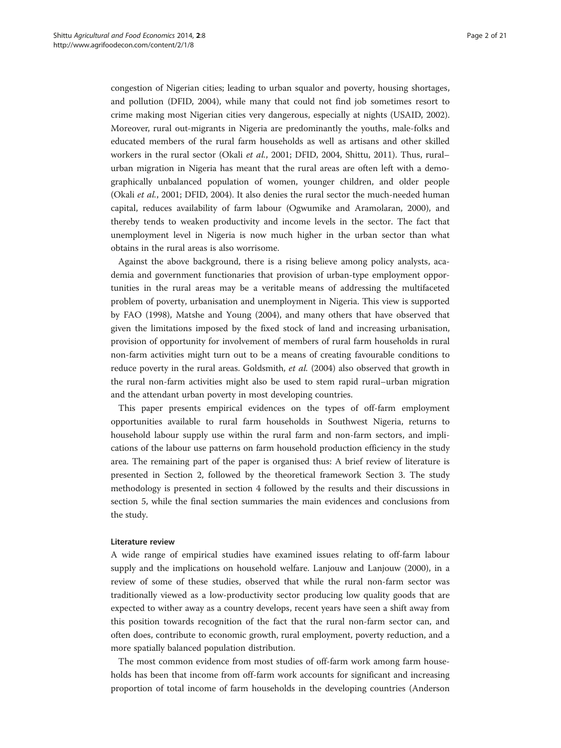congestion of Nigerian cities; leading to urban squalor and poverty, housing shortages, and pollution (DFID, [2004\)](#page-19-0), while many that could not find job sometimes resort to crime making most Nigerian cities very dangerous, especially at nights (USAID, [2002](#page-20-0)). Moreover, rural out-migrants in Nigeria are predominantly the youths, male-folks and educated members of the rural farm households as well as artisans and other skilled workers in the rural sector (Okali et al., [2001;](#page-20-0) DFID, [2004](#page-19-0), Shittu, [2011\)](#page-20-0). Thus, rural– urban migration in Nigeria has meant that the rural areas are often left with a demographically unbalanced population of women, younger children, and older people (Okali et al., [2001;](#page-20-0) DFID, [2004](#page-19-0)). It also denies the rural sector the much-needed human capital, reduces availability of farm labour (Ogwumike and Aramolaran, [2000](#page-20-0)), and thereby tends to weaken productivity and income levels in the sector. The fact that unemployment level in Nigeria is now much higher in the urban sector than what obtains in the rural areas is also worrisome.

Against the above background, there is a rising believe among policy analysts, academia and government functionaries that provision of urban-type employment opportunities in the rural areas may be a veritable means of addressing the multifaceted problem of poverty, urbanisation and unemployment in Nigeria. This view is supported by FAO ([1998](#page-19-0)), Matshe and Young [\(2004\)](#page-20-0), and many others that have observed that given the limitations imposed by the fixed stock of land and increasing urbanisation, provision of opportunity for involvement of members of rural farm households in rural non-farm activities might turn out to be a means of creating favourable conditions to reduce poverty in the rural areas. Goldsmith, et al. ([2004](#page-19-0)) also observed that growth in the rural non-farm activities might also be used to stem rapid rural–urban migration and the attendant urban poverty in most developing countries.

This paper presents empirical evidences on the types of off-farm employment opportunities available to rural farm households in Southwest Nigeria, returns to household labour supply use within the rural farm and non-farm sectors, and implications of the labour use patterns on farm household production efficiency in the study area. The remaining part of the paper is organised thus: A brief review of literature is presented in Section 2, followed by the theoretical framework Section 3. The study methodology is presented in section 4 followed by the results and their discussions in section 5, while the final section summaries the main evidences and conclusions from the study.

### Literature review

A wide range of empirical studies have examined issues relating to off-farm labour supply and the implications on household welfare. Lanjouw and Lanjouw ([2000](#page-20-0)), in a review of some of these studies, observed that while the rural non-farm sector was traditionally viewed as a low-productivity sector producing low quality goods that are expected to wither away as a country develops, recent years have seen a shift away from this position towards recognition of the fact that the rural non-farm sector can, and often does, contribute to economic growth, rural employment, poverty reduction, and a more spatially balanced population distribution.

The most common evidence from most studies of off-farm work among farm households has been that income from off-farm work accounts for significant and increasing proportion of total income of farm households in the developing countries (Anderson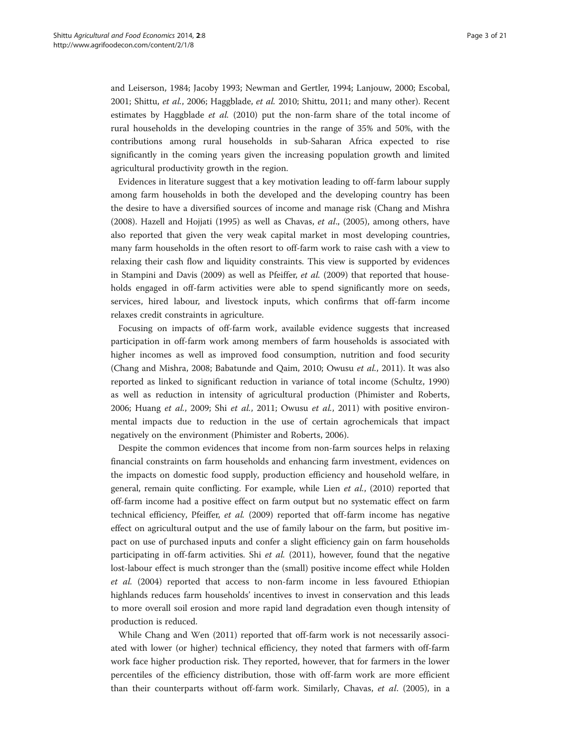and Leiserson, [1984](#page-19-0); Jacoby [1993](#page-20-0); Newman and Gertler, [1994;](#page-20-0) Lanjouw, [2000](#page-20-0); Escobal, [2001](#page-19-0); Shittu, et al., [2006](#page-20-0); Haggblade, et al. [2010](#page-19-0); Shittu, [2011](#page-20-0); and many other). Recent estimates by Haggblade *et al.* ([2010](#page-19-0)) put the non-farm share of the total income of rural households in the developing countries in the range of 35% and 50%, with the contributions among rural households in sub-Saharan Africa expected to rise significantly in the coming years given the increasing population growth and limited agricultural productivity growth in the region.

Evidences in literature suggest that a key motivation leading to off-farm labour supply among farm households in both the developed and the developing country has been the desire to have a diversified sources of income and manage risk (Chang and Mishra ([2008](#page-19-0)). Hazell and Hojjati [\(1995\)](#page-19-0) as well as Chavas, et al., ([2005](#page-19-0)), among others, have also reported that given the very weak capital market in most developing countries, many farm households in the often resort to off-farm work to raise cash with a view to relaxing their cash flow and liquidity constraints. This view is supported by evidences in Stampini and Davis [\(2009\)](#page-20-0) as well as Pfeiffer, et al. ([2009](#page-20-0)) that reported that households engaged in off-farm activities were able to spend significantly more on seeds, services, hired labour, and livestock inputs, which confirms that off-farm income relaxes credit constraints in agriculture.

Focusing on impacts of off-farm work, available evidence suggests that increased participation in off-farm work among members of farm households is associated with higher incomes as well as improved food consumption, nutrition and food security (Chang and Mishra, [2008](#page-19-0); Babatunde and Qaim, [2010](#page-19-0); Owusu et al., [2011\)](#page-20-0). It was also reported as linked to significant reduction in variance of total income (Schultz, [1990](#page-20-0)) as well as reduction in intensity of agricultural production (Phimister and Roberts, [2006](#page-20-0); Huang et al., [2009](#page-19-0); Shi et al., [2011](#page-20-0); Owusu et al., [2011\)](#page-20-0) with positive environmental impacts due to reduction in the use of certain agrochemicals that impact negatively on the environment (Phimister and Roberts, [2006](#page-20-0)).

Despite the common evidences that income from non-farm sources helps in relaxing financial constraints on farm households and enhancing farm investment, evidences on the impacts on domestic food supply, production efficiency and household welfare, in general, remain quite conflicting. For example, while Lien *et al.*,  $(2010)$  $(2010)$  reported that off-farm income had a positive effect on farm output but no systematic effect on farm technical efficiency, Pfeiffer, et al. [\(2009](#page-20-0)) reported that off-farm income has negative effect on agricultural output and the use of family labour on the farm, but positive impact on use of purchased inputs and confer a slight efficiency gain on farm households participating in off-farm activities. Shi et al.  $(2011)$ , however, found that the negative lost-labour effect is much stronger than the (small) positive income effect while Holden et al. [\(2004\)](#page-19-0) reported that access to non-farm income in less favoured Ethiopian highlands reduces farm households' incentives to invest in conservation and this leads to more overall soil erosion and more rapid land degradation even though intensity of production is reduced.

While Chang and Wen [\(2011\)](#page-19-0) reported that off-farm work is not necessarily associated with lower (or higher) technical efficiency, they noted that farmers with off-farm work face higher production risk. They reported, however, that for farmers in the lower percentiles of the efficiency distribution, those with off-farm work are more efficient than their counterparts without off-farm work. Similarly, Chavas, et al. [\(2005\)](#page-19-0), in a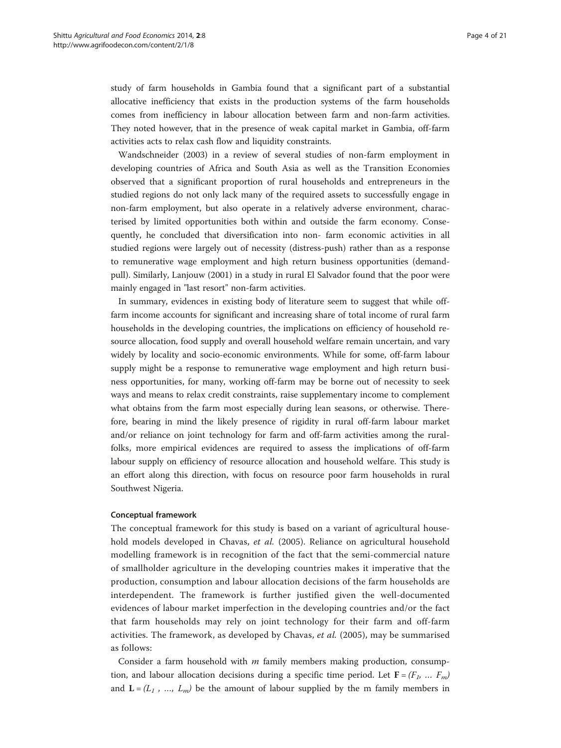study of farm households in Gambia found that a significant part of a substantial allocative inefficiency that exists in the production systems of the farm households comes from inefficiency in labour allocation between farm and non-farm activities. They noted however, that in the presence of weak capital market in Gambia, off-farm activities acts to relax cash flow and liquidity constraints.

[Wandschneider \(2003\)](#page-20-0) in a review of several studies of non-farm employment in developing countries of Africa and South Asia as well as the Transition Economies observed that a significant proportion of rural households and entrepreneurs in the studied regions do not only lack many of the required assets to successfully engage in non-farm employment, but also operate in a relatively adverse environment, characterised by limited opportunities both within and outside the farm economy. Consequently, he concluded that diversification into non- farm economic activities in all studied regions were largely out of necessity (distress-push) rather than as a response to remunerative wage employment and high return business opportunities (demandpull). Similarly, Lanjouw ([2001](#page-20-0)) in a study in rural El Salvador found that the poor were mainly engaged in "last resort" non-farm activities.

In summary, evidences in existing body of literature seem to suggest that while offfarm income accounts for significant and increasing share of total income of rural farm households in the developing countries, the implications on efficiency of household resource allocation, food supply and overall household welfare remain uncertain, and vary widely by locality and socio-economic environments. While for some, off-farm labour supply might be a response to remunerative wage employment and high return business opportunities, for many, working off-farm may be borne out of necessity to seek ways and means to relax credit constraints, raise supplementary income to complement what obtains from the farm most especially during lean seasons, or otherwise. Therefore, bearing in mind the likely presence of rigidity in rural off-farm labour market and/or reliance on joint technology for farm and off-farm activities among the ruralfolks, more empirical evidences are required to assess the implications of off-farm labour supply on efficiency of resource allocation and household welfare. This study is an effort along this direction, with focus on resource poor farm households in rural Southwest Nigeria.

#### Conceptual framework

The conceptual framework for this study is based on a variant of agricultural house-hold models developed in Chavas, et al. ([2005\)](#page-19-0). Reliance on agricultural household modelling framework is in recognition of the fact that the semi-commercial nature of smallholder agriculture in the developing countries makes it imperative that the production, consumption and labour allocation decisions of the farm households are interdependent. The framework is further justified given the well-documented evidences of labour market imperfection in the developing countries and/or the fact that farm households may rely on joint technology for their farm and off-farm activities. The framework, as developed by Chavas, et al. [\(2005\)](#page-19-0), may be summarised as follows:

Consider a farm household with  $m$  family members making production, consumption, and labour allocation decisions during a specific time period. Let  $\mathbf{F} = (F_1, \dots, F_m)$ and  $\mathbf{L} = (L_1, ..., L_m)$  be the amount of labour supplied by the m family members in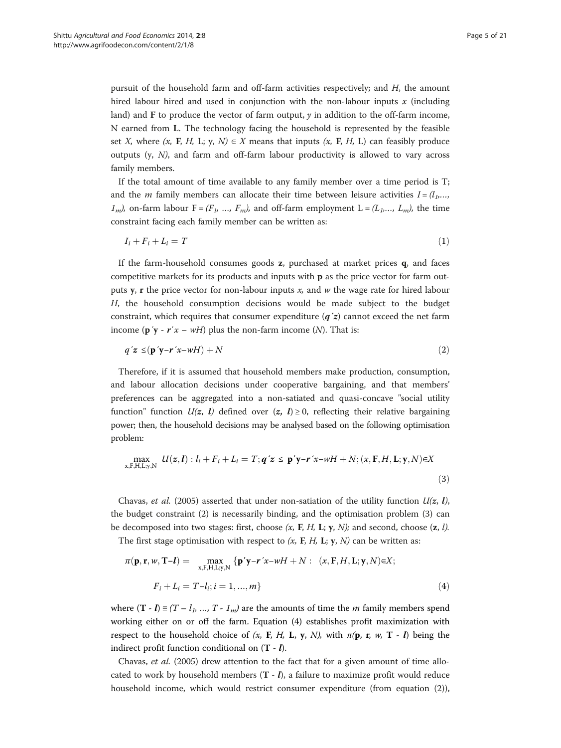pursuit of the household farm and off-farm activities respectively; and H, the amount hired labour hired and used in conjunction with the non-labour inputs x (including land) and  $F$  to produce the vector of farm output,  $\gamma$  in addition to the off-farm income, N earned from L. The technology facing the household is represented by the feasible set X, where  $(x, F, H, L; y, N) \in X$  means that inputs  $(x, F, H, L)$  can feasibly produce outputs  $(y, N)$ , and farm and off-farm labour productivity is allowed to vary across family members.

If the total amount of time available to any family member over a time period is T; and the *m* family members can allocate their time between leisure activities  $I = (l_1, \ldots, l_n)$  $1_m$ ), on-farm labour  $F = (F_1, ..., F_m)$ , and off-farm employment  $L = (L_1, ..., L_m)$ , the time constraint facing each family member can be written as:

 $I_i + F_i + L_i = T$  (1)

If the farm-household consumes goods z, purchased at market prices q, and faces competitive markets for its products and inputs with p as the price vector for farm outputs y, r the price vector for non-labour inputs  $x$ , and  $w$  the wage rate for hired labour H, the household consumption decisions would be made subject to the budget constraint, which requires that consumer expenditure  $(q'z)$  cannot exceed the net farm income ( $\mathbf{p}'\mathbf{y} - \mathbf{r}'\mathbf{x} - wH$ ) plus the non-farm income (N). That is:

$$
q'z \leq (\mathbf{p}'\mathbf{y} - \mathbf{r}'x - wH) + N
$$
\n(2)

Therefore, if it is assumed that household members make production, consumption, and labour allocation decisions under cooperative bargaining, and that members' preferences can be aggregated into a non-satiated and quasi-concave "social utility function" function  $U(z, l)$  defined over  $(z, l) \geq 0$ , reflecting their relative bargaining power; then, the household decisions may be analysed based on the following optimisation problem:

$$
\max_{\mathbf{x}, \mathbf{F}, \mathbf{H}, \mathbf{L}; \mathbf{y}, \mathbf{N}} \; U(\mathbf{z}, \mathbf{l}) : l_i + F_i + L_i = T; \, \mathbf{q}' \mathbf{z} \leq \mathbf{p}' \mathbf{y} - \mathbf{r}' \mathbf{x} - wH + N; (\mathbf{x}, \mathbf{F}, H, \mathbf{L}; \mathbf{y}, N) \in X
$$
\n(3)

Chavas, et al. [\(2005\)](#page-19-0) asserted that under non-satiation of the utility function  $U(z, l)$ , the budget constraint (2) is necessarily binding, and the optimisation problem (3) can be decomposed into two stages: first, choose  $(x, F, H, L; y, N)$ ; and second, choose  $(z, l)$ .

The first stage optimisation with respect to  $(x, F, H, L; y, N)$  can be written as:

$$
\pi(\mathbf{p}, \mathbf{r}, w, \mathbf{T} - \mathbf{I}) = \max_{x, F, H, L; y, N} \{ \mathbf{p}' \mathbf{y} - \mathbf{r}' x - wH + N : (x, F, H, L; \mathbf{y}, N) \in X; \nF_i + L_i = T - l_i; i = 1, ..., m \}
$$
\n(4)

where  $(T - I) \equiv (T - I_1, ..., T - I_m)$  are the amounts of time the *m* family members spend working either on or off the farm. Equation (4) establishes profit maximization with respect to the household choice of  $(x, F, H, L, y, N)$ , with  $\pi(\mathbf{p}, \mathbf{r}, w, T - l)$  being the indirect profit function conditional on  $(T - l)$ .

Chavas, et al. ([2005](#page-19-0)) drew attention to the fact that for a given amount of time allocated to work by household members  $(T - l)$ , a failure to maximize profit would reduce household income, which would restrict consumer expenditure (from equation (2)),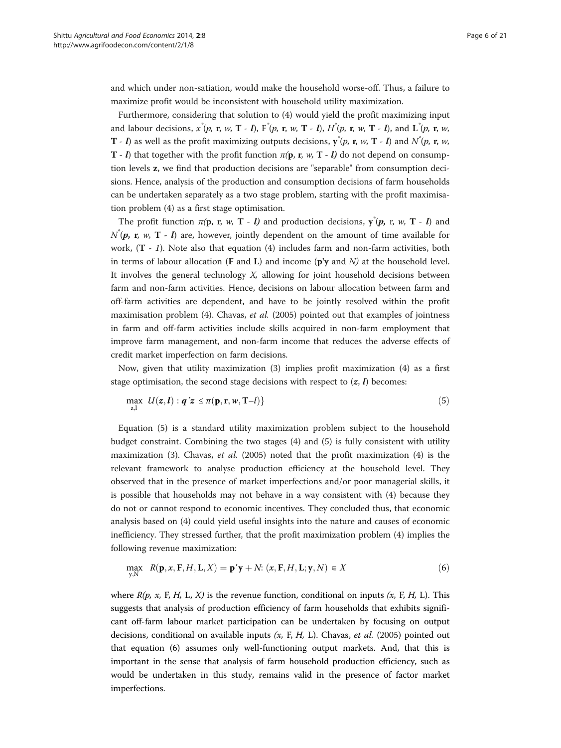and which under non-satiation, would make the household worse-off. Thus, a failure to maximize profit would be inconsistent with household utility maximization.

Furthermore, considering that solution to (4) would yield the profit maximizing input and labour decisions,  $x^*(p, r, w, T - l)$ ,  $F^*(p, r, w, T - l)$ ,  $H^*(p, r, w, T - l)$ , and  $L^*(p, r, w, T - l)$ **T** - **I**) as well as the profit maximizing outputs decisions,  $y^*(p, r, w, T - I)$  and  $N^*(p, r, w, T - I)$ T - l) that together with the profit function  $\pi(\mathbf{p}, \mathbf{r}, w, \mathbf{T} - \mathbf{l})$  do not depend on consumption levels z, we find that production decisions are "separable" from consumption decisions. Hence, analysis of the production and consumption decisions of farm households can be undertaken separately as a two stage problem, starting with the profit maximisation problem (4) as a first stage optimisation.

The profit function  $\pi(\mathbf{p}, \mathbf{r}, w, \mathbf{T} - l)$  and production decisions,  $\mathbf{y}^*(\mathbf{p}, \mathbf{r}, w, \mathbf{T} - l)$  and  $N^{*}(\boldsymbol{p}, \, \mathbf{r}, \, w, \, \mathbf{T}$  -  $\boldsymbol{l}$ ) are, however, jointly dependent on the amount of time available for work,  $(T - 1)$ . Note also that equation  $(4)$  includes farm and non-farm activities, both in terms of labour allocation (**F** and **L**) and income (**p'y** and N) at the household level. It involves the general technology  $X$ , allowing for joint household decisions between farm and non-farm activities. Hence, decisions on labour allocation between farm and off-farm activities are dependent, and have to be jointly resolved within the profit maximisation problem  $(4)$ . Chavas, *et al.* [\(2005\)](#page-19-0) pointed out that examples of jointness in farm and off-farm activities include skills acquired in non-farm employment that improve farm management, and non-farm income that reduces the adverse effects of credit market imperfection on farm decisions.

Now, given that utility maximization (3) implies profit maximization (4) as a first stage optimisation, the second stage decisions with respect to  $(z, l)$  becomes:

$$
\max_{z,l} \quad U(z,l) : q'z \leq \pi(\mathbf{p}, \mathbf{r}, w, \mathbf{T}-l) \} \tag{5}
$$

Equation (5) is a standard utility maximization problem subject to the household budget constraint. Combining the two stages (4) and (5) is fully consistent with utility maximization (3). Chavas, et al. ([2005\)](#page-19-0) noted that the profit maximization (4) is the relevant framework to analyse production efficiency at the household level. They observed that in the presence of market imperfections and/or poor managerial skills, it is possible that households may not behave in a way consistent with (4) because they do not or cannot respond to economic incentives. They concluded thus, that economic analysis based on (4) could yield useful insights into the nature and causes of economic inefficiency. They stressed further, that the profit maximization problem (4) implies the following revenue maximization:

$$
\max_{\mathbf{y},\mathbf{N}} R(\mathbf{p},\mathbf{x},\mathbf{F},H,\mathbf{L},X) = \mathbf{p}'\mathbf{y} + N: (\mathbf{x},\mathbf{F},H,\mathbf{L};\mathbf{y},N) \in X
$$
\n(6)

where  $R(p, x, F, H, L, X)$  is the revenue function, conditional on inputs  $(x, F, H, L)$ . This suggests that analysis of production efficiency of farm households that exhibits significant off-farm labour market participation can be undertaken by focusing on output decisions, conditional on available inputs  $(x, F, H, L)$ . Chavas, et al. [\(2005\)](#page-19-0) pointed out that equation (6) assumes only well-functioning output markets. And, that this is important in the sense that analysis of farm household production efficiency, such as would be undertaken in this study, remains valid in the presence of factor market imperfections.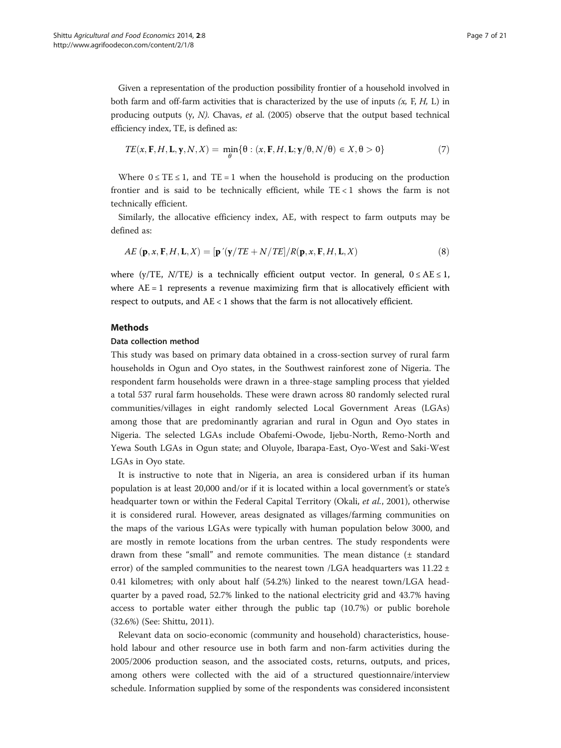Given a representation of the production possibility frontier of a household involved in both farm and off-farm activities that is characterized by the use of inputs  $(x, F, H, L)$  in producing outputs (y, N). Chavas, et al. ([2005\)](#page-19-0) observe that the output based technical efficiency index, TE, is defined as:

$$
TE(x, \mathbf{F}, H, \mathbf{L}, \mathbf{y}, N, X) = \min_{\theta} \{ \theta : (x, \mathbf{F}, H, \mathbf{L}; \mathbf{y}/\theta, N/\theta) \in X, \theta > 0 \}
$$
(7)

Where  $0 \leq TE \leq 1$ , and  $TE = 1$  when the household is producing on the production frontier and is said to be technically efficient, while  $TE < 1$  shows the farm is not technically efficient.

Similarly, the allocative efficiency index, AE, with respect to farm outputs may be defined as:

$$
AE(\mathbf{p}, \mathbf{x}, \mathbf{F}, H, \mathbf{L}, X) = [\mathbf{p}'(\mathbf{y}/TE + N/TE]/R(\mathbf{p}, \mathbf{x}, \mathbf{F}, H, \mathbf{L}, X) \tag{8}
$$

where (y/TE, N/TE) is a technically efficient output vector. In general,  $0 \le AE \le 1$ , where  $AE = 1$  represents a revenue maximizing firm that is allocatively efficient with respect to outputs, and  $AE < 1$  shows that the farm is not allocatively efficient.

# Methods

# Data collection method

This study was based on primary data obtained in a cross-section survey of rural farm households in Ogun and Oyo states, in the Southwest rainforest zone of Nigeria. The respondent farm households were drawn in a three-stage sampling process that yielded a total 537 rural farm households. These were drawn across 80 randomly selected rural communities/villages in eight randomly selected Local Government Areas (LGAs) among those that are predominantly agrarian and rural in Ogun and Oyo states in Nigeria. The selected LGAs include Obafemi-Owode, Ijebu-North, Remo-North and Yewa South LGAs in Ogun state; and Oluyole, Ibarapa-East, Oyo-West and Saki-West LGAs in Oyo state.

It is instructive to note that in Nigeria, an area is considered urban if its human population is at least 20,000 and/or if it is located within a local government's or state's headquarter town or within the Federal Capital Territory (Okali, et al., [2001](#page-20-0)), otherwise it is considered rural. However, areas designated as villages/farming communities on the maps of the various LGAs were typically with human population below 3000, and are mostly in remote locations from the urban centres. The study respondents were drawn from these "small" and remote communities. The mean distance (± standard error) of the sampled communities to the nearest town /LGA headquarters was  $11.22 \pm$ 0.41 kilometres; with only about half (54.2%) linked to the nearest town/LGA headquarter by a paved road, 52.7% linked to the national electricity grid and 43.7% having access to portable water either through the public tap (10.7%) or public borehole (32.6%) (See: Shittu, [2011\)](#page-20-0).

Relevant data on socio-economic (community and household) characteristics, household labour and other resource use in both farm and non-farm activities during the 2005/2006 production season, and the associated costs, returns, outputs, and prices, among others were collected with the aid of a structured questionnaire/interview schedule. Information supplied by some of the respondents was considered inconsistent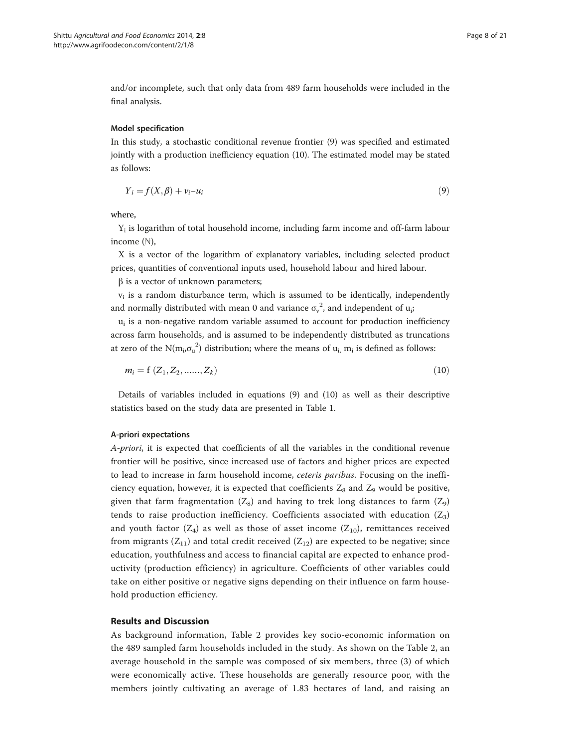and/or incomplete, such that only data from 489 farm households were included in the final analysis.

# Model specification

In this study, a stochastic conditional revenue frontier (9) was specified and estimated jointly with a production inefficiency equation (10). The estimated model may be stated as follows:

$$
Y_i = f(X, \beta) + v_i - u_i \tag{9}
$$

where,

 $Y_i$  is logarithm of total household income, including farm income and off-farm labour income (₦),

X is a vector of the logarithm of explanatory variables, including selected product prices, quantities of conventional inputs used, household labour and hired labour.

β is a vector of unknown parameters;

 $v_i$  is a random disturbance term, which is assumed to be identically, independently and normally distributed with mean 0 and variance  $\sigma_{\rm v}^{-2}$ , and independent of  ${\rm u_{\it i}}$ 

 $u_i$  is a non-negative random variable assumed to account for production inefficiency across farm households, and is assumed to be independently distributed as truncations at zero of the N( $m_i$ , $\sigma_u^2$ ) distribution; where the means of  $u_i$ ,  $m_i$  is defined as follows:

$$
m_i = f(Z_1, Z_2, \dots, Z_k) \tag{10}
$$

Details of variables included in equations (9) and (10) as well as their descriptive statistics based on the study data are presented in Table [1](#page-8-0).

#### A-priori expectations

A-priori, it is expected that coefficients of all the variables in the conditional revenue frontier will be positive, since increased use of factors and higher prices are expected to lead to increase in farm household income, ceteris paribus. Focusing on the inefficiency equation, however, it is expected that coefficients  $Z_8$  and  $Z_9$  would be positive, given that farm fragmentation  $(Z_8)$  and having to trek long distances to farm  $(Z_9)$ tends to raise production inefficiency. Coefficients associated with education  $(Z_3)$ and youth factor  $(Z_4)$  as well as those of asset income  $(Z_{10})$ , remittances received from migrants  $(Z_{11})$  and total credit received  $(Z_{12})$  are expected to be negative; since education, youthfulness and access to financial capital are expected to enhance productivity (production efficiency) in agriculture. Coefficients of other variables could take on either positive or negative signs depending on their influence on farm household production efficiency.

# Results and Discussion

As background information, Table [2](#page-9-0) provides key socio-economic information on the 489 sampled farm households included in the study. As shown on the Table [2,](#page-9-0) an average household in the sample was composed of six members, three (3) of which were economically active. These households are generally resource poor, with the members jointly cultivating an average of 1.83 hectares of land, and raising an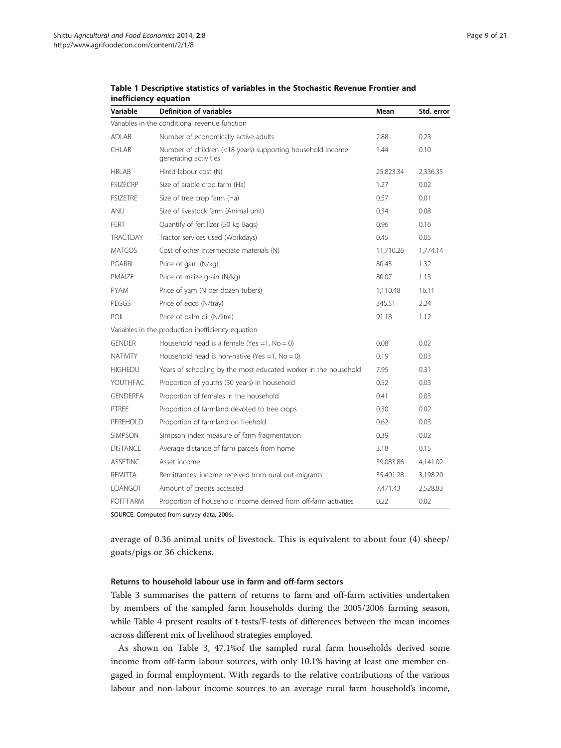| Variable        | <b>Definition of variables</b>                                                      | Mean      | Std. error |
|-----------------|-------------------------------------------------------------------------------------|-----------|------------|
|                 | Variables in the conditional revenue function                                       |           |            |
| <b>ADLAB</b>    | Number of economically active adults                                                | 2.88      | 0.23       |
| CHI AB          | Number of children (<18 years) supporting household income<br>generating activities | 1.44      | 0.10       |
| <b>HRI AB</b>   | Hired labour cost (N)                                                               | 25,823.34 | 2,336.35   |
| <b>FSIZECRP</b> | Size of arable crop farm (Ha)                                                       | 1.27      | 0.02       |
| <b>FSIZETRE</b> | Size of tree crop farm (Ha)                                                         | 0.57      | 0.01       |
| ANU             | Size of livestock farm (Animal unit)                                                | 0.34      | 0.08       |
| <b>FERT</b>     | Quantify of fertilizer (50 kg Bags)                                                 | 0.96      | 0.16       |
| <b>TRACTDAY</b> | Tractor services used (Workdays)                                                    | 0.45      | 0.05       |
| <b>MATCOS</b>   | Cost of other intermediate materials (N)                                            | 11,710.26 | 1,774.14   |
| PGARRI          | Price of garri (N/kg)                                                               | 80.43     | 1.32       |
| PMAIZE          | Price of maize grain (N/kg)                                                         | 80.07     | 1.13       |
| <b>PYAM</b>     | Price of yam (N per dozen tubers)                                                   | 1,110.48  | 16.11      |
| PEGGS           | Price of eggs (N/tray)                                                              | 345.51    | 2.24       |
| POIL            | Price of palm oil (N/litre)                                                         | 91.18     | 1.12       |
|                 | Variables in the production inefficiency equation                                   |           |            |
| <b>GENDER</b>   | Household head is a female (Yes =1, $No = 0$ )                                      | 0.08      | 0.02       |
| <b>NATIVITY</b> | Household head is non-native (Yes =1, $No = 0$ )                                    | 0.19      | 0.03       |
| <b>HIGHEDU</b>  | Years of schooling by the most educated worker in the household                     | 7.95      | 0.31       |
| YOUTHFAC        | Proportion of youths (30 years) in household                                        | 0.52      | 0.03       |
| <b>GENDERFA</b> | Proportion of females in the household                                              | 0.41      | 0.03       |
| <b>PTREE</b>    | Proportion of farmland devoted to tree crops                                        | 0.30      | 0.02       |
| PFREHOLD        | Proportion of farmland on freehold                                                  | 0.62      | 0.03       |
| <b>SIMPSON</b>  | Simpson index measure of farm fragmentation                                         | 0.39      | 0.02       |
| <b>DISTANCE</b> | Average distance of farm parcels from home                                          | 3.18      | 0.15       |
| <b>ASSETINC</b> | Asset income                                                                        | 39,083.86 | 4,141.02   |
| REMITTA         | Remittances: income received from rural out-migrants                                | 35,401.28 | 3,198.20   |
| LOANGOT         | Amount of credits accessed                                                          | 7,471.43  | 2,528.83   |
| POFFFARM        | Proportion of household income derived from off-farm activities                     | 0.22      | 0.02       |

<span id="page-8-0"></span>Table 1 Descriptive statistics of variables in the Stochastic Revenue Frontier and inefficiency equation

SOURCE: Computed from survey data, 2006.

average of 0.36 animal units of livestock. This is equivalent to about four (4) sheep/ goats/pigs or 36 chickens.

# Returns to household labour use in farm and off-farm sectors

Table [3](#page-10-0) summarises the pattern of returns to farm and off-farm activities undertaken by members of the sampled farm households during the 2005/2006 farming season, while Table [4](#page-11-0) present results of t-tests/F-tests of differences between the mean incomes across different mix of livelihood strategies employed.

As shown on Table [3,](#page-10-0) 47.1%of the sampled rural farm households derived some income from off-farm labour sources, with only 10.1% having at least one member engaged in formal employment. With regards to the relative contributions of the various labour and non-labour income sources to an average rural farm household's income,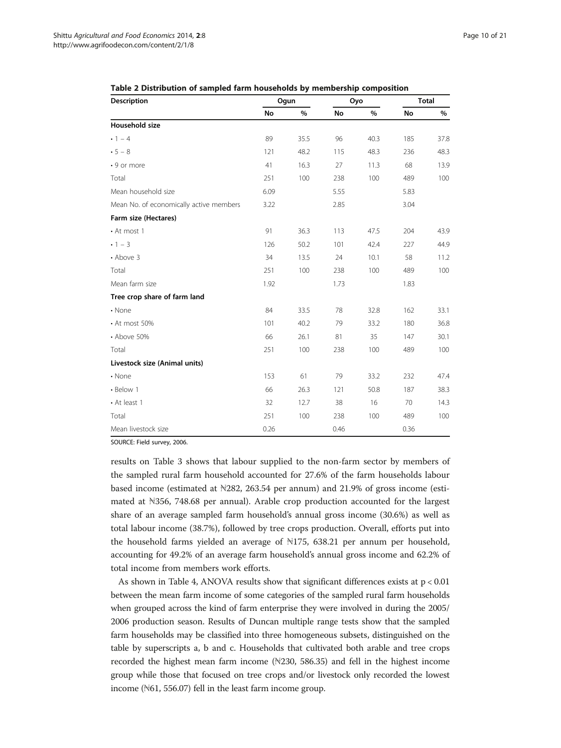| <b>Description</b>                      |           | Ogun |           | Oyo  | <b>Total</b> |      |
|-----------------------------------------|-----------|------|-----------|------|--------------|------|
|                                         | <b>No</b> | $\%$ | <b>No</b> | %    | <b>No</b>    | $\%$ |
| Household size                          |           |      |           |      |              |      |
| $\cdot$ 1 – 4                           | 89        | 35.5 | 96        | 40.3 | 185          | 37.8 |
| $\cdot 5 - 8$                           | 121       | 48.2 | 115       | 48.3 | 236          | 48.3 |
| • 9 or more                             | 41        | 16.3 | 27        | 11.3 | 68           | 13.9 |
| Total                                   | 251       | 100  | 238       | 100  | 489          | 100  |
| Mean household size                     | 6.09      |      | 5.55      |      | 5.83         |      |
| Mean No. of economically active members | 3.22      |      | 2.85      |      | 3.04         |      |
| Farm size (Hectares)                    |           |      |           |      |              |      |
| • At most 1                             | 91        | 36.3 | 113       | 47.5 | 204          | 43.9 |
| $\cdot$ 1 – 3                           | 126       | 50.2 | 101       | 42.4 | 227          | 44.9 |
| • Above 3                               | 34        | 13.5 | 24        | 10.1 | 58           | 11.2 |
| Total                                   | 251       | 100  | 238       | 100  | 489          | 100  |
| Mean farm size                          | 1.92      |      | 1.73      |      | 1.83         |      |
| Tree crop share of farm land            |           |      |           |      |              |      |
| • None                                  | 84        | 33.5 | 78        | 32.8 | 162          | 33.1 |
| • At most 50%                           | 101       | 40.2 | 79        | 33.2 | 180          | 36.8 |
| • Above 50%                             | 66        | 26.1 | 81        | 35   | 147          | 30.1 |
| Total                                   | 251       | 100  | 238       | 100  | 489          | 100  |
| Livestock size (Animal units)           |           |      |           |      |              |      |
| • None                                  | 153       | 61   | 79        | 33.2 | 232          | 47.4 |
| • Below 1                               | 66        | 26.3 | 121       | 50.8 | 187          | 38.3 |
| • At least 1                            | 32        | 12.7 | 38        | 16   | 70           | 14.3 |
| Total                                   | 251       | 100  | 238       | 100  | 489          | 100  |
| Mean livestock size                     | 0.26      |      | 0.46      |      | 0.36         |      |

<span id="page-9-0"></span>

|  |  |  |  |  |  | Table 2 Distribution of sampled farm households by membership composition |  |
|--|--|--|--|--|--|---------------------------------------------------------------------------|--|
|--|--|--|--|--|--|---------------------------------------------------------------------------|--|

SOURCE: Field survey, 2006.

results on Table [3](#page-10-0) shows that labour supplied to the non-farm sector by members of the sampled rural farm household accounted for 27.6% of the farm households labour based income (estimated at  $\frac{1282}{263.54}$  per annum) and 21.9% of gross income (estimated at  $\frac{1556}{748.68}$  per annual). Arable crop production accounted for the largest share of an average sampled farm household's annual gross income (30.6%) as well as total labour income (38.7%), followed by tree crops production. Overall, efforts put into the household farms yielded an average of  $\frac{175}{5}$ , 638.21 per annum per household, accounting for 49.2% of an average farm household's annual gross income and 62.2% of total income from members work efforts.

As shown in Table [4](#page-11-0), ANOVA results show that significant differences exists at  $p < 0.01$ between the mean farm income of some categories of the sampled rural farm households when grouped across the kind of farm enterprise they were involved in during the 2005/ 2006 production season. Results of Duncan multiple range tests show that the sampled farm households may be classified into three homogeneous subsets, distinguished on the table by superscripts a, b and c. Households that cultivated both arable and tree crops recorded the highest mean farm income  $(\frac{1}{230}, 586.35)$  and fell in the highest income group while those that focused on tree crops and/or livestock only recorded the lowest income (N61, 556.07) fell in the least farm income group.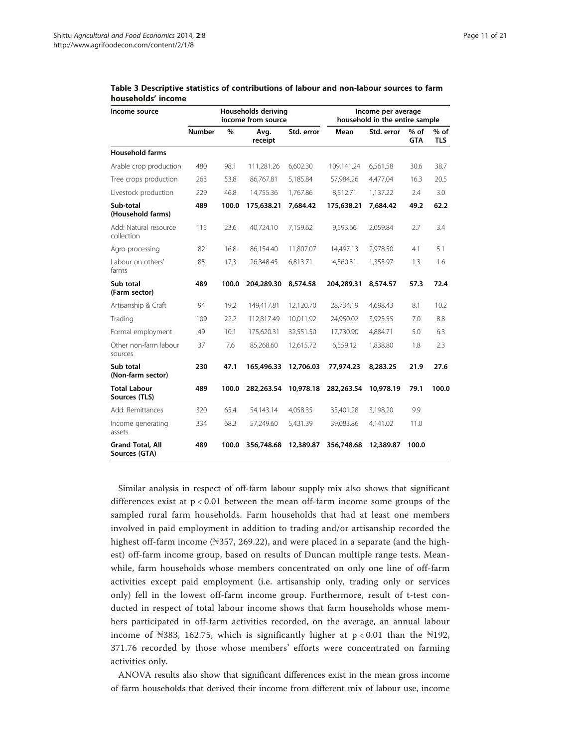| Income source                            |               |       | Households deriving<br>income from source |            | Income per average<br>household in the entire sample |            |                    |                      |
|------------------------------------------|---------------|-------|-------------------------------------------|------------|------------------------------------------------------|------------|--------------------|----------------------|
|                                          | <b>Number</b> | $\%$  | Avg.<br>receipt                           | Std. error | Mean                                                 | Std. error | % of<br><b>GTA</b> | $%$ of<br><b>TLS</b> |
| <b>Household farms</b>                   |               |       |                                           |            |                                                      |            |                    |                      |
| Arable crop production                   | 480           | 98.1  | 111,281.26                                | 6,602.30   | 109,141.24                                           | 6,561.58   | 30.6               | 38.7                 |
| Tree crops production                    | 263           | 53.8  | 86.767.81                                 | 5.185.84   | 57,984.26                                            | 4.477.04   | 16.3               | 20.5                 |
| Livestock production                     | 229           | 46.8  | 14,755.36                                 | 1,767.86   | 8,512.71                                             | 1,137.22   | 2.4                | 3.0                  |
| Sub-total<br>(Household farms)           | 489           | 100.0 | 175,638.21                                | 7,684.42   | 175,638.21                                           | 7,684.42   | 49.2               | 62.2                 |
| Add: Natural resource<br>collection      | 115           | 23.6  | 40,724.10                                 | 7,159.62   | 9,593.66                                             | 2,059.84   | 2.7                | 3.4                  |
| Agro-processing                          | 82            | 16.8  | 86,154.40                                 | 11,807.07  | 14,497.13                                            | 2,978.50   | 4.1                | 5.1                  |
| Labour on others'<br>farms               | 85            | 17.3  | 26,348.45                                 | 6,813.71   | 4,560.31                                             | 1,355.97   | 1.3                | 1.6                  |
| Sub total<br>(Farm sector)               | 489           | 100.0 | 204,289.30                                | 8,574.58   | 204,289.31                                           | 8,574.57   | 57.3               | 72.4                 |
| Artisanship & Craft                      | 94            | 19.2  | 149,417.81                                | 12,120.70  | 28,734.19                                            | 4,698.43   | 8.1                | 10.2                 |
| Trading                                  | 109           | 22.2  | 112,817.49                                | 10.011.92  | 24,950.02                                            | 3,925.55   | 7.0                | 8.8                  |
| Formal employment                        | 49            | 10.1  | 175,620.31                                | 32,551.50  | 17,730.90                                            | 4,884.71   | 5.0                | 6.3                  |
| Other non-farm labour<br>sources         | 37            | 7.6   | 85,268.60                                 | 12,615.72  | 6,559.12                                             | 1,838.80   | 1.8                | 2.3                  |
| Sub total<br>(Non-farm sector)           | 230           | 47.1  | 165,496.33                                | 12,706.03  | 77,974.23                                            | 8,283.25   | 21.9               | 27.6                 |
| <b>Total Labour</b><br>Sources (TLS)     | 489           | 100.0 | 282,263.54                                | 10,978.18  | 282,263.54                                           | 10,978.19  | 79.1               | 100.0                |
| Add: Remittances                         | 320           | 65.4  | 54,143.14                                 | 4,058.35   | 35,401.28                                            | 3,198.20   | 9.9                |                      |
| Income generating<br>assets              | 334           | 68.3  | 57,249.60                                 | 5,431.39   | 39,083.86                                            | 4,141.02   | 11.0               |                      |
| <b>Grand Total, All</b><br>Sources (GTA) | 489           | 100.0 | 356,748.68                                | 12,389.87  | 356,748.68                                           | 12,389.87  | 100.0              |                      |

<span id="page-10-0"></span>Table 3 Descriptive statistics of contributions of labour and non-labour sources to farm households' income

Similar analysis in respect of off-farm labour supply mix also shows that significant differences exist at  $p < 0.01$  between the mean off-farm income some groups of the sampled rural farm households. Farm households that had at least one members involved in paid employment in addition to trading and/or artisanship recorded the highest off-farm income ( $\aleph$ 357, 269.22), and were placed in a separate (and the highest) off-farm income group, based on results of Duncan multiple range tests. Meanwhile, farm households whose members concentrated on only one line of off-farm activities except paid employment (i.e. artisanship only, trading only or services only) fell in the lowest off-farm income group. Furthermore, result of t-test conducted in respect of total labour income shows that farm households whose members participated in off-farm activities recorded, on the average, an annual labour income of  $\frac{1}{383}$ , 162.75, which is significantly higher at p < 0.01 than the  $\frac{1}{22}$ , 371.76 recorded by those whose members' efforts were concentrated on farming activities only.

ANOVA results also show that significant differences exist in the mean gross income of farm households that derived their income from different mix of labour use, income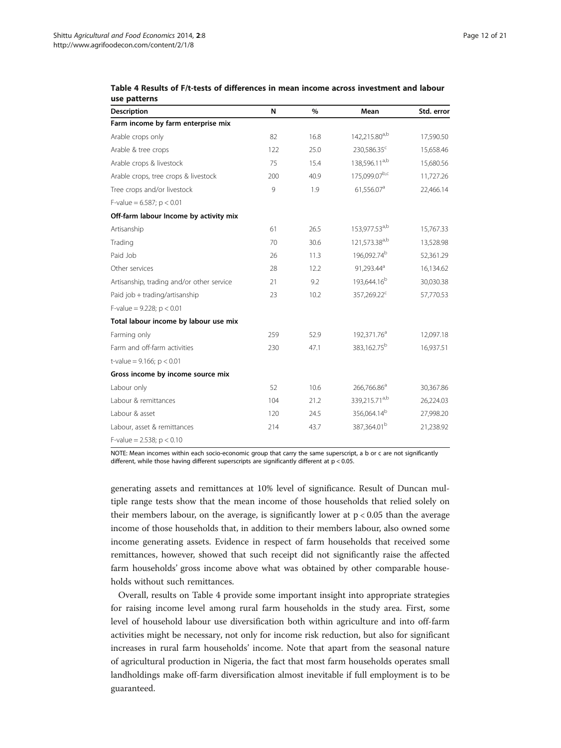| <b>Description</b>                        | N   | $\frac{0}{0}$ | Mean                      | Std. error |
|-------------------------------------------|-----|---------------|---------------------------|------------|
| Farm income by farm enterprise mix        |     |               |                           |            |
| Arable crops only                         | 82  | 16.8          | 142,215.80 <sup>a,b</sup> | 17,590.50  |
| Arable & tree crops                       | 122 | 25.0          | 230,586.35 <sup>c</sup>   | 15,658.46  |
| Arable crops & livestock                  | 75  | 15.4          | 138,596.11 <sup>a,b</sup> | 15,680.56  |
| Arable crops, tree crops & livestock      | 200 | 40.9          | 175,099.07b,c             | 11,727.26  |
| Tree crops and/or livestock               | 9   | 1.9           | $61,556.07$ <sup>a</sup>  | 22,466.14  |
| F-value = $6.587$ ; $p < 0.01$            |     |               |                           |            |
| Off-farm labour Income by activity mix    |     |               |                           |            |
| Artisanship                               | 61  | 26.5          | 153,977.53 <sup>a,b</sup> | 15,767.33  |
| Trading                                   | 70  | 30.6          | 121,573.38 <sup>a,b</sup> | 13,528.98  |
| Paid Job                                  | 26  | 11.3          | 196,092.74 <sup>b</sup>   | 52,361.29  |
| Other services                            | 28  | 12.2          | 91,293.44 <sup>a</sup>    | 16,134.62  |
| Artisanship, trading and/or other service | 21  | 9.2           | 193,644.16 <sup>b</sup>   | 30,030.38  |
| Paid job + trading/artisanship            | 23  | 10.2          | 357,269.22 <sup>c</sup>   | 57,770.53  |
| F-value = $9.228$ ; $p < 0.01$            |     |               |                           |            |
| Total labour income by labour use mix     |     |               |                           |            |
| Farming only                              | 259 | 52.9          | 192,371.76 <sup>a</sup>   | 12,097.18  |
| Farm and off-farm activities              | 230 | 47.1          | 383,162.75 <sup>b</sup>   | 16,937.51  |
| t-value = $9.166$ ; $p < 0.01$            |     |               |                           |            |
| Gross income by income source mix         |     |               |                           |            |
| Labour only                               | 52  | 10.6          | 266,766.86 <sup>a</sup>   | 30,367.86  |
| Labour & remittances                      | 104 | 21.2          | 339,215.71 <sup>a,b</sup> | 26,224.03  |
| Labour & asset                            | 120 | 24.5          | 356,064.14 <sup>b</sup>   | 27,998.20  |
| Labour, asset & remittances               | 214 | 43.7          | 387,364.01 <sup>b</sup>   | 21,238.92  |
| F-value = $2.538$ ; $p < 0.10$            |     |               |                           |            |

<span id="page-11-0"></span>Table 4 Results of F/t-tests of differences in mean income across investment and labour use patterns

NOTE: Mean incomes within each socio-economic group that carry the same superscript, a b or c are not significantly different, while those having different superscripts are significantly different at p < 0.05.

generating assets and remittances at 10% level of significance. Result of Duncan multiple range tests show that the mean income of those households that relied solely on their members labour, on the average, is significantly lower at  $p < 0.05$  than the average income of those households that, in addition to their members labour, also owned some income generating assets. Evidence in respect of farm households that received some remittances, however, showed that such receipt did not significantly raise the affected farm households' gross income above what was obtained by other comparable households without such remittances.

Overall, results on Table 4 provide some important insight into appropriate strategies for raising income level among rural farm households in the study area. First, some level of household labour use diversification both within agriculture and into off-farm activities might be necessary, not only for income risk reduction, but also for significant increases in rural farm households' income. Note that apart from the seasonal nature of agricultural production in Nigeria, the fact that most farm households operates small landholdings make off-farm diversification almost inevitable if full employment is to be guaranteed.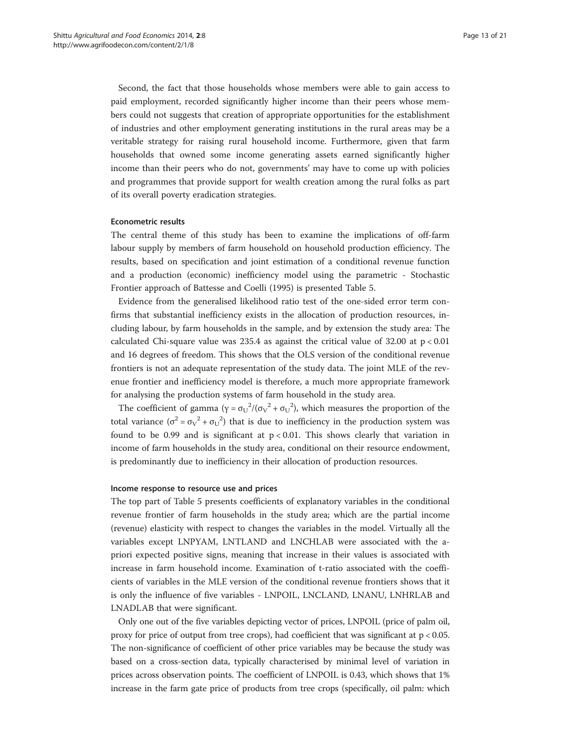Second, the fact that those households whose members were able to gain access to paid employment, recorded significantly higher income than their peers whose members could not suggests that creation of appropriate opportunities for the establishment of industries and other employment generating institutions in the rural areas may be a veritable strategy for raising rural household income. Furthermore, given that farm households that owned some income generating assets earned significantly higher income than their peers who do not, governments' may have to come up with policies and programmes that provide support for wealth creation among the rural folks as part of its overall poverty eradication strategies.

## Econometric results

The central theme of this study has been to examine the implications of off-farm labour supply by members of farm household on household production efficiency. The results, based on specification and joint estimation of a conditional revenue function and a production (economic) inefficiency model using the parametric - Stochastic Frontier approach of Battesse and Coelli [\(1995\)](#page-19-0) is presented Table [5.](#page-13-0)

Evidence from the generalised likelihood ratio test of the one-sided error term confirms that substantial inefficiency exists in the allocation of production resources, including labour, by farm households in the sample, and by extension the study area: The calculated Chi-square value was  $235.4$  as against the critical value of  $32.00$  at  $p < 0.01$ and 16 degrees of freedom. This shows that the OLS version of the conditional revenue frontiers is not an adequate representation of the study data. The joint MLE of the revenue frontier and inefficiency model is therefore, a much more appropriate framework for analysing the production systems of farm household in the study area.

The coefficient of gamma ( $\gamma = \sigma_U^2/(\sigma_V^2 + \sigma_U^2)$ , which measures the proportion of the total variance  $(\sigma^2 = \sigma_V^2 + \sigma_U^2)$  that is due to inefficiency in the production system was found to be 0.99 and is significant at  $p < 0.01$ . This shows clearly that variation in income of farm households in the study area, conditional on their resource endowment, is predominantly due to inefficiency in their allocation of production resources.

#### Income response to resource use and prices

The top part of Table [5](#page-13-0) presents coefficients of explanatory variables in the conditional revenue frontier of farm households in the study area; which are the partial income (revenue) elasticity with respect to changes the variables in the model. Virtually all the variables except LNPYAM, LNTLAND and LNCHLAB were associated with the apriori expected positive signs, meaning that increase in their values is associated with increase in farm household income. Examination of t-ratio associated with the coefficients of variables in the MLE version of the conditional revenue frontiers shows that it is only the influence of five variables - LNPOIL, LNCLAND, LNANU, LNHRLAB and LNADLAB that were significant.

Only one out of the five variables depicting vector of prices, LNPOIL (price of palm oil, proxy for price of output from tree crops), had coefficient that was significant at  $p < 0.05$ . The non-significance of coefficient of other price variables may be because the study was based on a cross-section data, typically characterised by minimal level of variation in prices across observation points. The coefficient of LNPOIL is 0.43, which shows that 1% increase in the farm gate price of products from tree crops (specifically, oil palm: which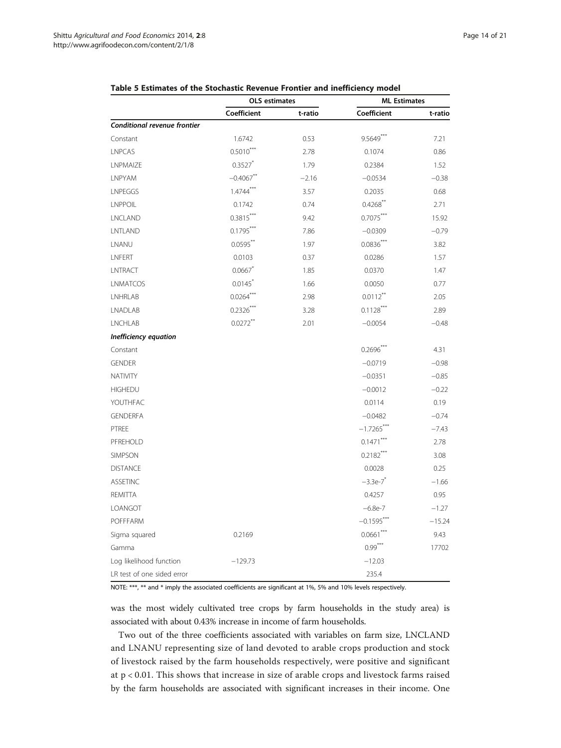|                              | <b>OLS</b> estimates   |         | <b>ML Estimates</b> |          |  |
|------------------------------|------------------------|---------|---------------------|----------|--|
|                              | Coefficient            | t-ratio | Coefficient         | t-ratio  |  |
| Conditional revenue frontier |                        |         |                     |          |  |
| Constant                     | 1.6742                 | 0.53    | $9.5649$ ***        | 7.21     |  |
| <b>LNPCAS</b>                | $0.5010***$            | 2.78    | 0.1074              | 0.86     |  |
| LNPMAIZE                     | 0.3527                 | 1.79    | 0.2384              | 1.52     |  |
| LNPYAM                       | $-0.4067$ **           | $-2.16$ | $-0.0534$           | $-0.38$  |  |
| <b>LNPEGGS</b>               | $1.4744***$            | 3.57    | 0.2035              | 0.68     |  |
| <b>LNPPOIL</b>               | 0.1742                 | 0.74    | $0.4268$ **         | 2.71     |  |
| LNCLAND                      | $0.3815***$            | 9.42    | $0.7075***$         | 15.92    |  |
| LNTLAND                      | $0.1795***$            | 7.86    | $-0.0309$           | $-0.79$  |  |
| LNANU                        | $0.0595$ **            | 1.97    | $0.0836***$         | 3.82     |  |
| <b>LNFERT</b>                | 0.0103                 | 0.37    | 0.0286              | 1.57     |  |
| <b>LNTRACT</b>               | 0.0667                 | 1.85    | 0.0370              | 1.47     |  |
| <b>LNMATCOS</b>              | 0.0145                 | 1.66    | 0.0050              | 0.77     |  |
| <b>LNHRLAB</b>               | $0.0264***$            | 2.98    | $0.0112***$         | 2.05     |  |
| LNADLAB                      | $0.2326***$            | 3.28    | $0.1128***$         | 2.89     |  |
| <b>LNCHLAB</b>               | $0.0272$ <sup>**</sup> | 2.01    | $-0.0054$           | $-0.48$  |  |
| Inefficiency equation        |                        |         |                     |          |  |
| Constant                     |                        |         | $0.2696$ ***        | 4.31     |  |
| <b>GENDER</b>                |                        |         | $-0.0719$           | $-0.98$  |  |
| <b>NATIVITY</b>              |                        |         | $-0.0351$           | $-0.85$  |  |
| <b>HIGHEDU</b>               |                        |         | $-0.0012$           | $-0.22$  |  |
| YOUTHFAC                     |                        |         | 0.0114              | 0.19     |  |
| <b>GENDERFA</b>              |                        |         | $-0.0482$           | $-0.74$  |  |
| PTREE                        |                        |         | $-1.7265***$        | $-7.43$  |  |
| PFREHOLD                     |                        |         | $0.1471***$         | 2.78     |  |
| SIMPSON                      |                        |         | $0.2182***$         | 3.08     |  |
| <b>DISTANCE</b>              |                        |         | 0.0028              | 0.25     |  |
| <b>ASSETINC</b>              |                        |         | $-3.3e-7$           | $-1.66$  |  |
| REMITTA                      |                        |         | 0.4257              | 0.95     |  |
| LOANGOT                      |                        |         | $-6.8e-7$           | $-1.27$  |  |
| POFFFARM                     |                        |         | $-0.1595***$        | $-15.24$ |  |
| Sigma squared                | 0.2169                 |         | $0.0661***$         | 9.43     |  |
| Gamma                        |                        |         | $0.99***$           | 17702    |  |
| Log likelihood function      | $-129.73$              |         | $-12.03$            |          |  |
| LR test of one sided error   |                        |         | 235.4               |          |  |

# <span id="page-13-0"></span>Table 5 Estimates of the Stochastic Revenue Frontier and inefficiency model

NOTE: \*\*\*, \*\* and \* imply the associated coefficients are significant at 1%, 5% and 10% levels respectively.

was the most widely cultivated tree crops by farm households in the study area) is associated with about 0.43% increase in income of farm households.

Two out of the three coefficients associated with variables on farm size, LNCLAND and LNANU representing size of land devoted to arable crops production and stock of livestock raised by the farm households respectively, were positive and significant at p < 0.01. This shows that increase in size of arable crops and livestock farms raised by the farm households are associated with significant increases in their income. One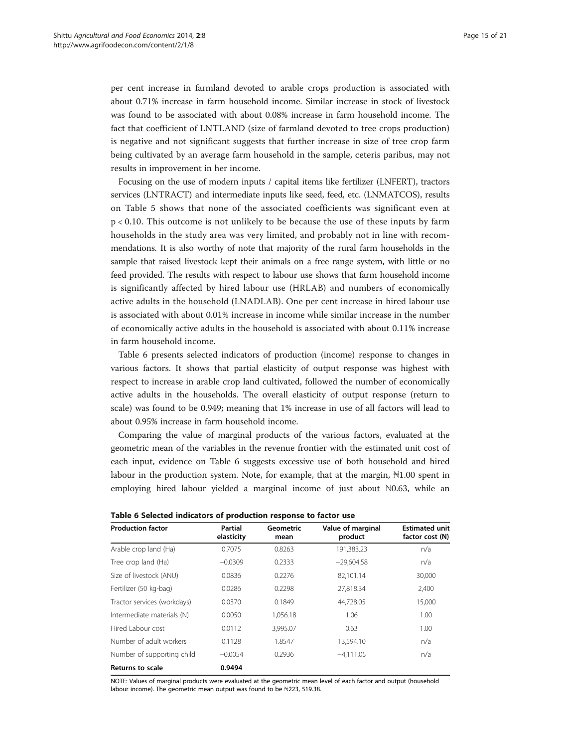per cent increase in farmland devoted to arable crops production is associated with about 0.71% increase in farm household income. Similar increase in stock of livestock was found to be associated with about 0.08% increase in farm household income. The fact that coefficient of LNTLAND (size of farmland devoted to tree crops production) is negative and not significant suggests that further increase in size of tree crop farm being cultivated by an average farm household in the sample, ceteris paribus, may not results in improvement in her income.

Focusing on the use of modern inputs / capital items like fertilizer (LNFERT), tractors services (LNTRACT) and intermediate inputs like seed, feed, etc. (LNMATCOS), results on Table [5](#page-13-0) shows that none of the associated coefficients was significant even at p < 0.10. This outcome is not unlikely to be because the use of these inputs by farm households in the study area was very limited, and probably not in line with recommendations. It is also worthy of note that majority of the rural farm households in the sample that raised livestock kept their animals on a free range system, with little or no feed provided. The results with respect to labour use shows that farm household income is significantly affected by hired labour use (HRLAB) and numbers of economically active adults in the household (LNADLAB). One per cent increase in hired labour use is associated with about 0.01% increase in income while similar increase in the number of economically active adults in the household is associated with about 0.11% increase in farm household income.

Table 6 presents selected indicators of production (income) response to changes in various factors. It shows that partial elasticity of output response was highest with respect to increase in arable crop land cultivated, followed the number of economically active adults in the households. The overall elasticity of output response (return to scale) was found to be 0.949; meaning that 1% increase in use of all factors will lead to about 0.95% increase in farm household income.

Comparing the value of marginal products of the various factors, evaluated at the geometric mean of the variables in the revenue frontier with the estimated unit cost of each input, evidence on Table 6 suggests excessive use of both household and hired labour in the production system. Note, for example, that at the margin,  $\mathbb{N}1.00$  spent in employing hired labour yielded a marginal income of just about  $\text{N}0.63$ , while an

| <b>Production factor</b>    | Partial<br>elasticity | Geometric<br>mean | Value of marginal<br>product | <b>Estimated unit</b><br>factor cost (N) |
|-----------------------------|-----------------------|-------------------|------------------------------|------------------------------------------|
| Arable crop land (Ha)       | 0.7075                | 0.8263            | 191.383.23                   | n/a                                      |
| Tree crop land (Ha)         | $-0.0309$             | 0.2333            | $-29.604.58$                 | n/a                                      |
| Size of livestock (ANU)     | 0.0836                | 0.2276            | 82.101.14                    | 30,000                                   |
| Fertilizer (50 kg-bag)      | 0.0286                | 0.2298            | 27.818.34                    | 2,400                                    |
| Tractor services (workdays) | 0.0370                | 0.1849            | 44.728.05                    | 15,000                                   |
| Intermediate materials (N)  | 0.0050                | 1.056.18          | 1.06                         | 1.00                                     |
| Hired Labour cost           | 0.0112                | 3,995.07          | 0.63                         | 1.00                                     |
| Number of adult workers     | 0.1128                | 1.8547            | 13.594.10                    | n/a                                      |
| Number of supporting child  | $-0.0054$             | 0.2936            | $-4.111.05$                  | n/a                                      |
| Returns to scale            | 0.9494                |                   |                              |                                          |

Table 6 Selected indicators of production response to factor use

NOTE: Values of marginal products were evaluated at the geometric mean level of each factor and output (household labour income). The geometric mean output was found to be N223, 519.38.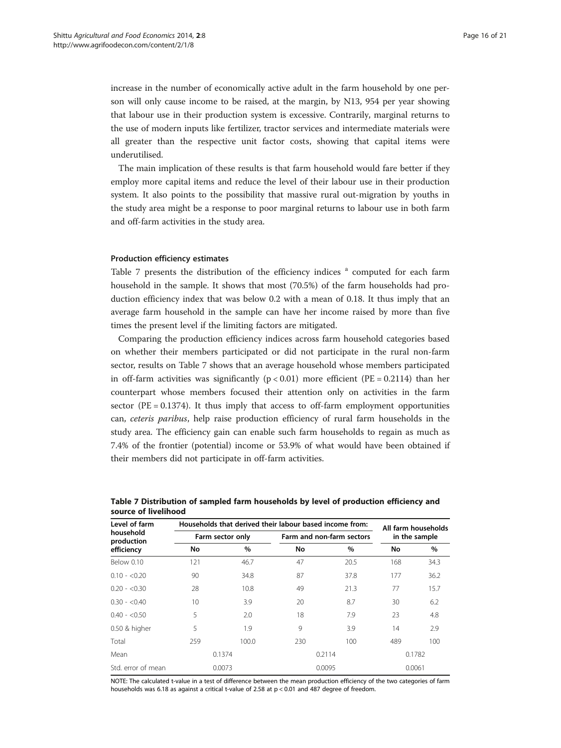increase in the number of economically active adult in the farm household by one person will only cause income to be raised, at the margin, by N13, 954 per year showing that labour use in their production system is excessive. Contrarily, marginal returns to the use of modern inputs like fertilizer, tractor services and intermediate materials were all greater than the respective unit factor costs, showing that capital items were underutilised.

The main implication of these results is that farm household would fare better if they employ more capital items and reduce the level of their labour use in their production system. It also points to the possibility that massive rural out-migration by youths in the study area might be a response to poor marginal returns to labour use in both farm and off-farm activities in the study area.

# Production efficiency estimates

Table 7 presents the distribution of the efficiency indices  $a$  computed for each farm household in the sample. It shows that most (70.5%) of the farm households had production efficiency index that was below 0.2 with a mean of 0.18. It thus imply that an average farm household in the sample can have her income raised by more than five times the present level if the limiting factors are mitigated.

Comparing the production efficiency indices across farm household categories based on whether their members participated or did not participate in the rural non-farm sector, results on Table 7 shows that an average household whose members participated in off-farm activities was significantly ( $p < 0.01$ ) more efficient (PE = 0.2114) than her counterpart whose members focused their attention only on activities in the farm sector ( $PE = 0.1374$ ). It thus imply that access to off-farm employment opportunities can, ceteris paribus, help raise production efficiency of rural farm households in the study area. The efficiency gain can enable such farm households to regain as much as 7.4% of the frontier (potential) income or 53.9% of what would have been obtained if their members did not participate in off-farm activities.

| Level of farm           | Households that derived their labour based income from: | All farm households |        |                           |               |        |
|-------------------------|---------------------------------------------------------|---------------------|--------|---------------------------|---------------|--------|
| household<br>production |                                                         | Farm sector only    |        | Farm and non-farm sectors | in the sample |        |
| efficiency              | No                                                      | $\%$                | No     | $\%$                      | No            | $\%$   |
| Below 0.10              | 121                                                     | 46.7                | 47     | 20.5                      | 168           | 34.3   |
| $0.10 - 0.20$           | 90                                                      | 34.8                | 87     | 37.8                      | 177           | 36.2   |
| $0.20 - 0.30$           | 28                                                      | 10.8                | 49     | 21.3                      | 77            | 15.7   |
| $0.30 - 0.40$           | 10                                                      | 3.9                 | 20     | 8.7                       | 30            | 6.2    |
| $0.40 - 0.50$           | 5                                                       | 2.0                 | 18     | 7.9                       | 23            | 4.8    |
| 0.50 & higher           | 5                                                       | 1.9                 | 9      | 3.9                       | 14            | 2.9    |
| Total                   | 259                                                     | 100.0               | 230    | 100                       | 489           | 100    |
| Mean                    |                                                         | 0.1374              |        | 0.2114                    |               | 0.1782 |
| Std. error of mean      |                                                         | 0.0073              | 0.0095 |                           |               | 0.0061 |

Table 7 Distribution of sampled farm households by level of production efficiency and source of livelihood

NOTE: The calculated t-value in a test of difference between the mean production efficiency of the two categories of farm households was 6.18 as against a critical t-value of 2.58 at p < 0.01 and 487 degree of freedom.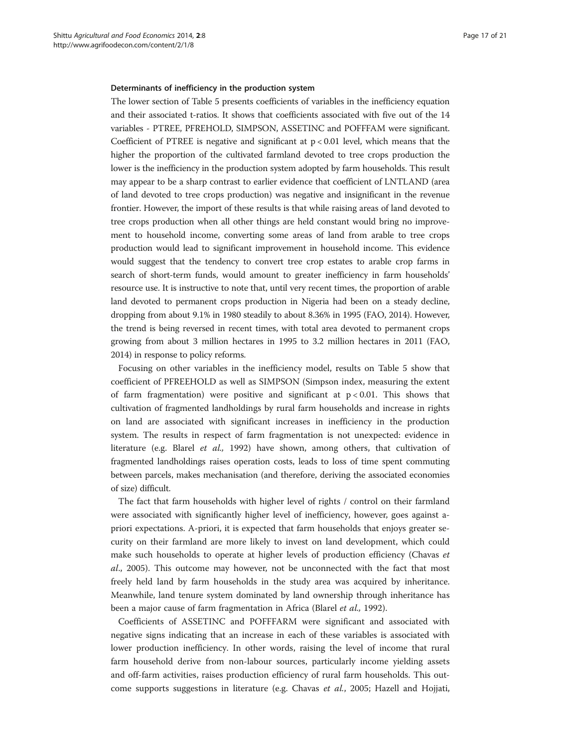#### Determinants of inefficiency in the production system

The lower section of Table [5](#page-13-0) presents coefficients of variables in the inefficiency equation and their associated t-ratios. It shows that coefficients associated with five out of the 14 variables - PTREE, PFREHOLD, SIMPSON, ASSETINC and POFFFAM were significant. Coefficient of PTREE is negative and significant at  $p < 0.01$  level, which means that the higher the proportion of the cultivated farmland devoted to tree crops production the lower is the inefficiency in the production system adopted by farm households. This result may appear to be a sharp contrast to earlier evidence that coefficient of LNTLAND (area of land devoted to tree crops production) was negative and insignificant in the revenue frontier. However, the import of these results is that while raising areas of land devoted to tree crops production when all other things are held constant would bring no improvement to household income, converting some areas of land from arable to tree crops production would lead to significant improvement in household income. This evidence would suggest that the tendency to convert tree crop estates to arable crop farms in search of short-term funds, would amount to greater inefficiency in farm households' resource use. It is instructive to note that, until very recent times, the proportion of arable land devoted to permanent crops production in Nigeria had been on a steady decline, dropping from about 9.1% in 1980 steadily to about 8.36% in 1995 (FAO, [2014](#page-19-0)). However, the trend is being reversed in recent times, with total area devoted to permanent crops growing from about 3 million hectares in 1995 to 3.2 million hectares in 2011 (FAO, [2014\)](#page-19-0) in response to policy reforms.

Focusing on other variables in the inefficiency model, results on Table [5](#page-13-0) show that coefficient of PFREEHOLD as well as SIMPSON (Simpson index, measuring the extent of farm fragmentation) were positive and significant at  $p < 0.01$ . This shows that cultivation of fragmented landholdings by rural farm households and increase in rights on land are associated with significant increases in inefficiency in the production system. The results in respect of farm fragmentation is not unexpected: evidence in literature (e.g. Blarel et al., [1992\)](#page-19-0) have shown, among others, that cultivation of fragmented landholdings raises operation costs, leads to loss of time spent commuting between parcels, makes mechanisation (and therefore, deriving the associated economies of size) difficult.

The fact that farm households with higher level of rights / control on their farmland were associated with significantly higher level of inefficiency, however, goes against apriori expectations. A-priori, it is expected that farm households that enjoys greater security on their farmland are more likely to invest on land development, which could make such households to operate at higher levels of production efficiency (Chavas et al., [2005](#page-19-0)). This outcome may however, not be unconnected with the fact that most freely held land by farm households in the study area was acquired by inheritance. Meanwhile, land tenure system dominated by land ownership through inheritance has been a major cause of farm fragmentation in Africa (Blarel et al., [1992](#page-19-0)).

Coefficients of ASSETINC and POFFFARM were significant and associated with negative signs indicating that an increase in each of these variables is associated with lower production inefficiency. In other words, raising the level of income that rural farm household derive from non-labour sources, particularly income yielding assets and off-farm activities, raises production efficiency of rural farm households. This outcome supports suggestions in literature (e.g. Chavas et al., [2005;](#page-19-0) Hazell and Hojjati,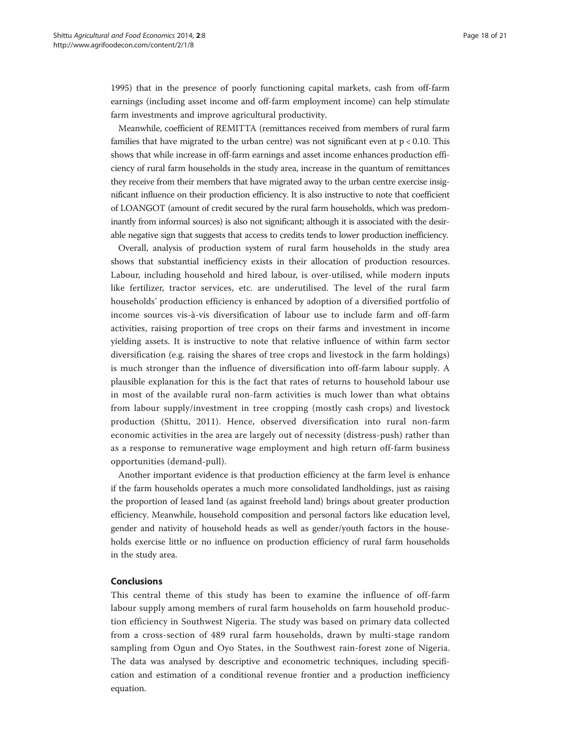[1995](#page-19-0)) that in the presence of poorly functioning capital markets, cash from off-farm earnings (including asset income and off-farm employment income) can help stimulate farm investments and improve agricultural productivity.

Meanwhile, coefficient of REMITTA (remittances received from members of rural farm families that have migrated to the urban centre) was not significant even at  $p < 0.10$ . This shows that while increase in off-farm earnings and asset income enhances production efficiency of rural farm households in the study area, increase in the quantum of remittances they receive from their members that have migrated away to the urban centre exercise insignificant influence on their production efficiency. It is also instructive to note that coefficient of LOANGOT (amount of credit secured by the rural farm households, which was predominantly from informal sources) is also not significant; although it is associated with the desirable negative sign that suggests that access to credits tends to lower production inefficiency.

Overall, analysis of production system of rural farm households in the study area shows that substantial inefficiency exists in their allocation of production resources. Labour, including household and hired labour, is over-utilised, while modern inputs like fertilizer, tractor services, etc. are underutilised. The level of the rural farm households' production efficiency is enhanced by adoption of a diversified portfolio of income sources vis-à-vis diversification of labour use to include farm and off-farm activities, raising proportion of tree crops on their farms and investment in income yielding assets. It is instructive to note that relative influence of within farm sector diversification (e.g. raising the shares of tree crops and livestock in the farm holdings) is much stronger than the influence of diversification into off-farm labour supply. A plausible explanation for this is the fact that rates of returns to household labour use in most of the available rural non-farm activities is much lower than what obtains from labour supply/investment in tree cropping (mostly cash crops) and livestock production (Shittu, [2011](#page-20-0)). Hence, observed diversification into rural non-farm economic activities in the area are largely out of necessity (distress-push) rather than as a response to remunerative wage employment and high return off-farm business opportunities (demand-pull).

Another important evidence is that production efficiency at the farm level is enhance if the farm households operates a much more consolidated landholdings, just as raising the proportion of leased land (as against freehold land) brings about greater production efficiency. Meanwhile, household composition and personal factors like education level, gender and nativity of household heads as well as gender/youth factors in the households exercise little or no influence on production efficiency of rural farm households in the study area.

#### Conclusions

This central theme of this study has been to examine the influence of off-farm labour supply among members of rural farm households on farm household production efficiency in Southwest Nigeria. The study was based on primary data collected from a cross-section of 489 rural farm households, drawn by multi-stage random sampling from Ogun and Oyo States, in the Southwest rain-forest zone of Nigeria. The data was analysed by descriptive and econometric techniques, including specification and estimation of a conditional revenue frontier and a production inefficiency equation.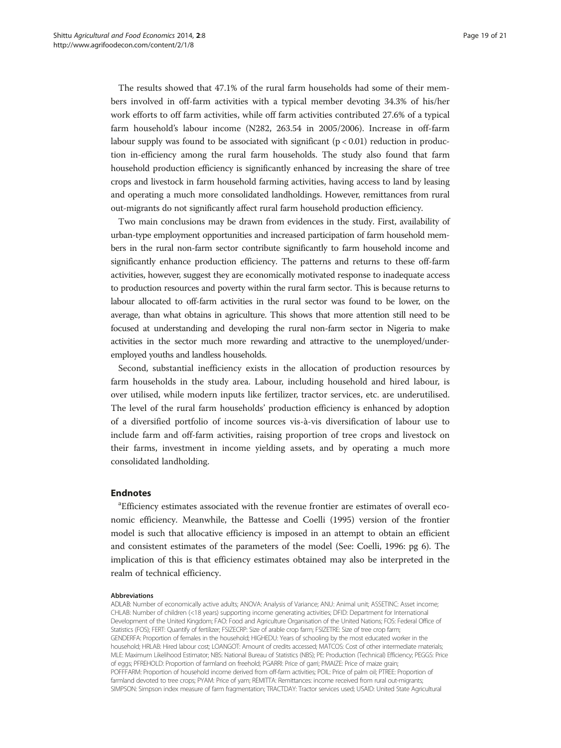The results showed that 47.1% of the rural farm households had some of their members involved in off-farm activities with a typical member devoting 34.3% of his/her work efforts to off farm activities, while off farm activities contributed 27.6% of a typical farm household's labour income (N282, 263.54 in 2005/2006). Increase in off-farm labour supply was found to be associated with significant  $(p < 0.01)$  reduction in production in-efficiency among the rural farm households. The study also found that farm household production efficiency is significantly enhanced by increasing the share of tree crops and livestock in farm household farming activities, having access to land by leasing and operating a much more consolidated landholdings. However, remittances from rural out-migrants do not significantly affect rural farm household production efficiency.

Two main conclusions may be drawn from evidences in the study. First, availability of urban-type employment opportunities and increased participation of farm household members in the rural non-farm sector contribute significantly to farm household income and significantly enhance production efficiency. The patterns and returns to these off-farm activities, however, suggest they are economically motivated response to inadequate access to production resources and poverty within the rural farm sector. This is because returns to labour allocated to off-farm activities in the rural sector was found to be lower, on the average, than what obtains in agriculture. This shows that more attention still need to be focused at understanding and developing the rural non-farm sector in Nigeria to make activities in the sector much more rewarding and attractive to the unemployed/underemployed youths and landless households.

Second, substantial inefficiency exists in the allocation of production resources by farm households in the study area. Labour, including household and hired labour, is over utilised, while modern inputs like fertilizer, tractor services, etc. are underutilised. The level of the rural farm households' production efficiency is enhanced by adoption of a diversified portfolio of income sources vis-à-vis diversification of labour use to include farm and off-farm activities, raising proportion of tree crops and livestock on their farms, investment in income yielding assets, and by operating a much more consolidated landholding.

#### Endnotes

<sup>a</sup> Efficiency estimates associated with the revenue frontier are estimates of overall economic efficiency. Meanwhile, the Battesse and Coelli ([1995](#page-19-0)) version of the frontier model is such that allocative efficiency is imposed in an attempt to obtain an efficient and consistent estimates of the parameters of the model (See: Coelli, [1996](#page-19-0): pg 6). The implication of this is that efficiency estimates obtained may also be interpreted in the realm of technical efficiency.

#### Abbreviations

ADLAB: Number of economically active adults; ANOVA: Analysis of Variance; ANU: Animal unit; ASSETINC: Asset income; CHLAB: Number of children (<18 years) supporting income generating activities; DFID: Department for International Development of the United Kingdom; FAO: Food and Agriculture Organisation of the United Nations; FOS: Federal Office of Statistics (FOS); FERT: Quantify of fertilizer; FSIZECRP: Size of arable crop farm; FSIZETRE: Size of tree crop farm; GENDERFA: Proportion of females in the household; HIGHEDU: Years of schooling by the most educated worker in the household; HRLAB: Hired labour cost; LOANGOT: Amount of credits accessed; MATCOS: Cost of other intermediate materials; MLE: Maximum Likelihood Estimator; NBS: National Bureau of Statistics (NBS); PE: Production (Technical) Efficiency; PEGGS: Price of eggs; PFREHOLD: Proportion of farmland on freehold; PGARRI: Price of garri; PMAIZE: Price of maize grain; POFFFARM: Proportion of household income derived from off-farm activities; POIL: Price of palm oil; PTREE: Proportion of farmland devoted to tree crops; PYAM: Price of yam; REMITTA: Remittances: income received from rural out-migrants; SIMPSON: Simpson index measure of farm fragmentation; TRACTDAY: Tractor services used; USAID: United State Agricultural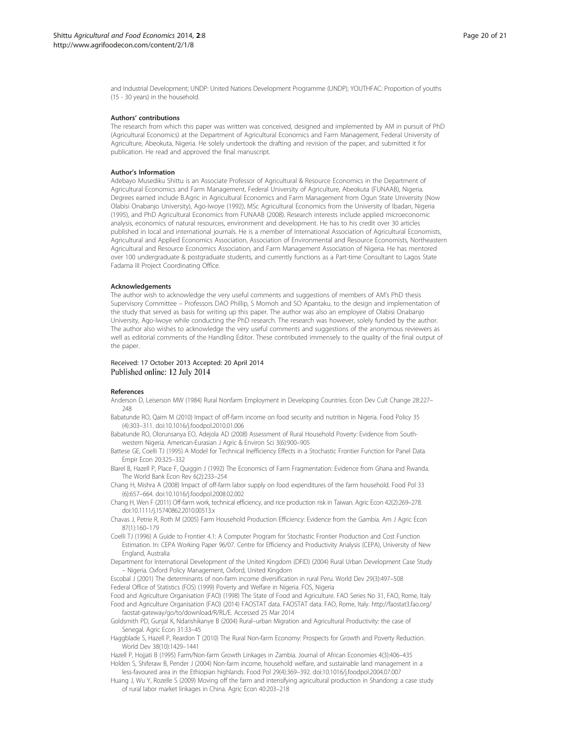<span id="page-19-0"></span>and Industrial Development; UNDP: United Nations Development Programme (UNDP); YOUTHFAC: Proportion of youths (15 - 30 years) in the household.

#### Authors' contributions

The research from which this paper was written was conceived, designed and implemented by AM in pursuit of PhD (Agricultural Economics) at the Department of Agricultural Economics and Farm Management, Federal University of Agriculture, Abeokuta, Nigeria. He solely undertook the drafting and revision of the paper, and submitted it for publication. He read and approved the final manuscript.

#### Author's Information

Adebayo Musediku Shittu is an Associate Professor of Agricultural & Resource Economics in the Department of Agricultural Economics and Farm Management, Federal University of Agriculture, Abeokuta (FUNAAB), Nigeria. Degrees earned include B.Agric in Agricultural Economics and Farm Management from Ogun State University (Now Olabisi Onabanjo University), Ago-Iwoye (1992), MSc Agricultural Economics from the University of Ibadan, Nigeria (1995), and PhD Agricultural Economics from FUNAAB (2008). Research interests include applied microeconomic analysis, economics of natural resources, environment and development. He has to his credit over 30 articles published in local and international journals. He is a member of International Association of Agricultural Economists, Agricultural and Applied Economics Association, Association of Environmental and Resource Economists, Northeastern Agricultural and Resource Economics Association, and Farm Management Association of Nigeria. He has mentored over 100 undergraduate & postgraduate students, and currently functions as a Part-time Consultant to Lagos State Fadama III Project Coordinating Office.

#### Acknowledgements

The author wish to acknowledge the very useful comments and suggestions of members of AM's PhD thesis Supervisory Committee – Professors DAO Phillip, S Momoh and SO Apantaku, to the design and implementation of the study that served as basis for writing up this paper. The author was also an employee of Olabisi Onabanjo University, Ago-Iwoye while conducting the PhD research. The research was however, solely funded by the author. The author also wishes to acknowledge the very useful comments and suggestions of the anonymous reviewers as well as editorial comments of the Handling Editor. These contributed immensely to the quality of the final output of the paper.

#### Received: 17 October 2013 Accepted: 20 April 2014 Published online: 12 July 2014

#### References

- Anderson D, Leiserson MW (1984) Rural Nonfarm Employment in Developing Countries. Econ Dev Cult Change 28:227– 248
- Babatunde RO, Qaim M (2010) Impact of off-farm income on food security and nutrition in Nigeria. Food Policy 35 (4):303–311. doi:[10.1016/j.foodpol.2010.01.006](http://dx.doi.org/10.1016/j.foodpol.2010.01.006)
- Babatunde RO, Olorunsanya EO, Adejola AD (2008) Assessment of Rural Household Poverty: Evidence from Southwestern Nigeria. American-Eurasian J Agric & Environ Sci 3(6):900–905
- Battese GE, Coelli TJ (1995) A Model for Technical Inefficiency Effects in a Stochastic Frontier Function for Panel Data. Empir Econ 20:325–332
- Blarel B, Hazell P, Place F, Quiggin J (1992) The Economics of Farm Fragmentation: Evidence from Ghana and Rwanda. The World Bank Econ Rev 6(2):233–254
- Chang H, Mishra A (2008) Impact of off-farm labor supply on food expenditures of the farm household. Food Pol 33 (6):657–664. doi:[10.1016/j.foodpol.2008.02.002](http://dx.doi.org/10.1016/j.foodpol.2008.02.002)
- Chang H, Wen F (2011) Off-farm work, technical efficiency, and rice production risk in Taiwan. Agric Econ 42(2):269–278. doi:[10.1111/j.15740862.2010.00513.x](http://dx.doi.org/10.1111/j.15740862.2010.00513.x)
- Chavas J, Petrie R, Roth M (2005) Farm Household Production Efficiency: Evidence from the Gambia. Am J Agric Econ 87(1):160–179
- Coelli TJ (1996) A Guide to Frontier 4.1: A Computer Program for Stochastic Frontier Production and Cost Function Estimation. In: CEPA Working Paper 96/07. Centre for Efficiency and Productivity Analysis (CEPA), University of New England, Australia
- Department for International Development of the United Kingdom (DFID) (2004) Rural Urban Development Case Study – Nigeria. Oxford Policy Management, Oxford, United Kingdom
- Escobal J (2001) The determinants of non-farm income diversification in rural Peru. World Dev 29(3):497–508 Federal Office of Statistics (FOS) (1999) Poverty and Welfare in Nigeria. FOS, Nigeria
- Food and Agriculture Organisation (FAO) (1998) The State of Food and Agriculture. FAO Series No 31, FAO, Rome, Italy Food and Agriculture Organisation (FAO) (2014) FAOSTAT data. FAOSTAT data. FAO, Rome, Italy. [http://faostat3.fao.org/](http://faostat3.fao.org/faostat-gateway/go/to/download/R/RL/E) [faostat-gateway/go/to/download/R/RL/E](http://faostat3.fao.org/faostat-gateway/go/to/download/R/RL/E). Accessed 25 Mar 2014
- Goldsmith PD, Gunjal K, Ndarishikanye B (2004) Rural–urban Migration and Agricultural Productivity: the case of Senegal. Agric Econ 31:33–45
- Haggblade S, Hazell P, Reardon T (2010) The Rural Non-farm Economy: Prospects for Growth and Poverty Reduction. World Dev 38(10):1429–1441
- Hazell P, Hojjati B (1995) Farm/Non-farm Growth Linkages in Zambia. Journal of African Economies 4(3):406–435 Holden S, Shiferaw B, Pender J (2004) Non-farm income, household welfare, and sustainable land management in a less-favoured area in the Ethiopian highlands. Food Pol 29(4):369–392. doi:[10.1016/j.foodpol.2004.07.007](http://dx.doi.org/10.1016/j.foodpol.2004.07.007)
- Huang J, Wu Y, Rozelle S (2009) Moving off the farm and intensifying agricultural production in Shandong: a case study of rural labor market linkages in China. Agric Econ 40:203–218